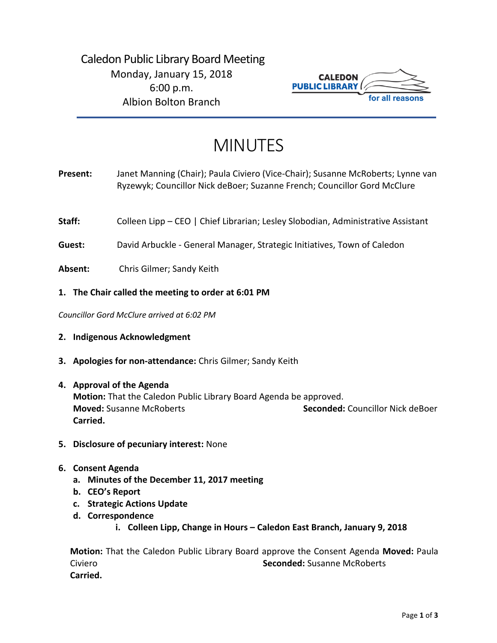

# MINUTES

- **Present:** Janet Manning (Chair); Paula Civiero (Vice-Chair); Susanne McRoberts; Lynne van Ryzewyk; Councillor Nick deBoer; Suzanne French; Councillor Gord McClure
- Staff: Colleen Lipp CEO | Chief Librarian; Lesley Slobodian, Administrative Assistant

**Guest:** David Arbuckle - General Manager, Strategic Initiatives, Town of Caledon

**Absent:** Chris Gilmer; Sandy Keith

# **1. The Chair called the meeting to order at 6:01 PM**

*Councillor Gord McClure arrived at 6:02 PM*

- **2. Indigenous Acknowledgment**
- **3. Apologies for non-attendance:** Chris Gilmer; Sandy Keith
- **4. Approval of the Agenda Motion:** That the Caledon Public Library Board Agenda be approved. **Moved:** Susanne McRoberts **Seconded:** Councillor Nick deBoer **Carried.**
- **5. Disclosure of pecuniary interest:** None
- **6. Consent Agenda**
	- **a. Minutes of the December 11, 2017 meeting**
	- **b. CEO's Report**
	- **c. Strategic Actions Update**
	- **d. Correspondence**
		- **i. Colleen Lipp, Change in Hours – Caledon East Branch, January 9, 2018**

**Motion:** That the Caledon Public Library Board approve the Consent Agenda **Moved:** Paula Civiero **Seconded:** Susanne McRoberts **Carried.**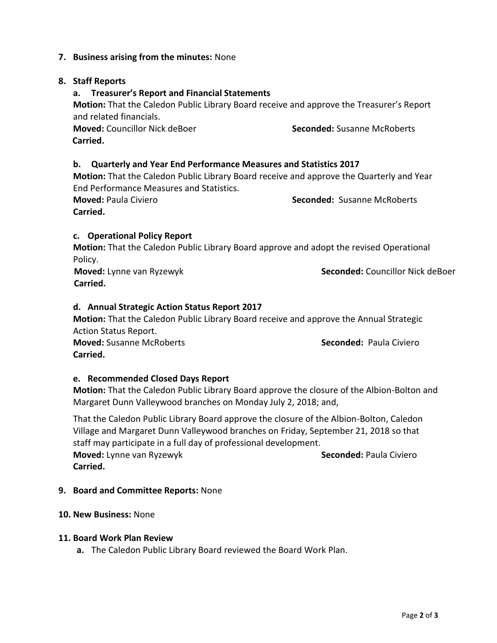# **7. Business arising from the minutes:** None

# **8. Staff Reports**

# **a. Treasurer's Report and Financial Statements**

**Motion:** That the Caledon Public Library Board receive and approve the Treasurer's Report and related financials.

**Moved:** Councillor Nick deBoer **Seconded:** Susanne McRoberts  **Carried.** 

# **b. Quarterly and Year End Performance Measures and Statistics 2017**

**Motion:** That the Caledon Public Library Board receive and approve the Quarterly and Year End Performance Measures and Statistics.

**Carried.** 

**Moved:** Paula Civiero **Seconded:** Susanne McRoberts

# **c. Operational Policy Report**

**Motion:** That the Caledon Public Library Board approve and adopt the revised Operational Policy.

 **Moved:** Lynne van Ryzewyk **Seconded:** Councillor Nick deBoer  **Carried.**

# **d. Annual Strategic Action Status Report 2017**

**Motion:** That the Caledon Public Library Board receive and approve the Annual Strategic Action Status Report. **Moved:** Susanne McRoberts **Seconded:** Paula Civiero

**Carried.**

#### **e. Recommended Closed Days Report**

**Motion:** That the Caledon Public Library Board approve the closure of the Albion-Bolton and Margaret Dunn Valleywood branches on Monday July 2, 2018; and,

That the Caledon Public Library Board approve the closure of the Albion-Bolton, Caledon Village and Margaret Dunn Valleywood branches on Friday, September 21, 2018 so that staff may participate in a full day of professional development.

**Moved:** Lynne van Ryzewyk **Seconded:** Paula Civiero **Carried.** 

#### **9. Board and Committee Reports:** None

#### **10. New Business:** None

#### **11. Board Work Plan Review**

**a.** The Caledon Public Library Board reviewed the Board Work Plan.